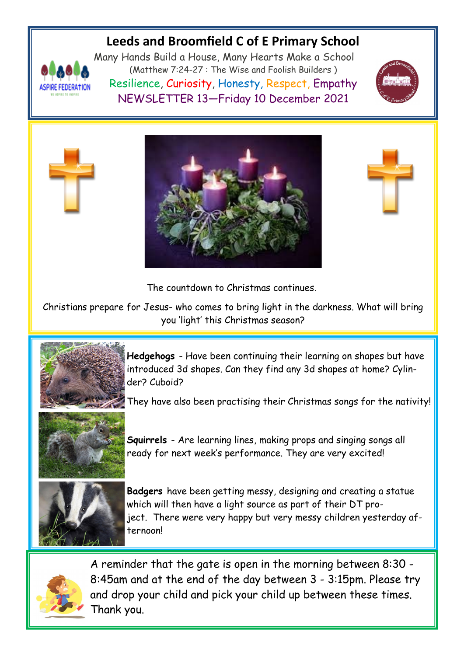# **Leeds and Broomfield C of E Primary School**



Many Hands Build a House, Many Hearts Make a School (Matthew 7:24-27 : The Wise and Foolish Builders ) Resilience, Curiosity, Honesty, Respect, Empathy NEWSLETTER 13—Friday 10 December 2021







The countdown to Christmas continues.

Christians prepare for Jesus- who comes to bring light in the darkness. What will bring you 'light' this Christmas season?



**Hedgehogs** - Have been continuing their learning on shapes but have introduced 3d shapes. Can they find any 3d shapes at home? Cylinder? Cuboid?

They have also been practising their Christmas songs for the nativity!



**Squirrels** - Are learning lines, making props and singing songs all ready for next week's performance. They are very excited!



**Badgers** have been getting messy, designing and creating a statue which will then have a light source as part of their DT project. There were very happy but very messy children yesterday afternoon!



A reminder that the gate is open in the morning between 8:30 - 8:45am and at the end of the day between 3 - 3:15pm. Please try and drop your child and pick your child up between these times. Thank you.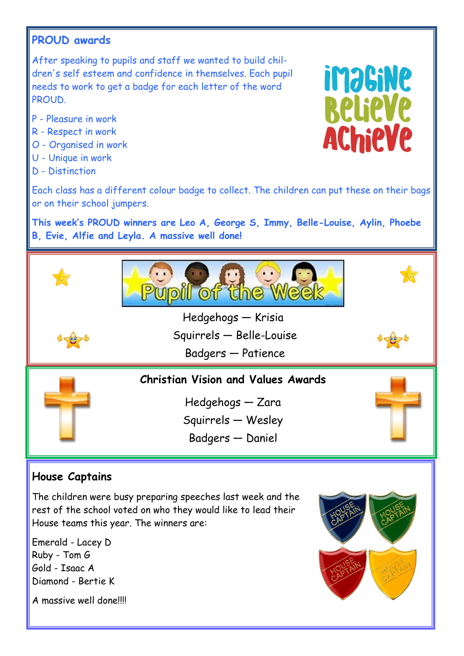## **PROUD awards**

After speaking to pupils and staff we wanted to build children's self esteem and confidence in themselves. Each pupil needs to work to get a badge for each letter of the word **PROUD.** 

- P Pleasure in work
- R Respect in work
- O Organised in work
- U Unique in work
- D Distinction



Each class has a different colour badge to collect. The children can put these on their bags or on their school jumpers.

**This week's PROUD winners are Leo A, George S, Immy, Belle-Louise, Aylin, Phoebe B, Evie, Alfie and Leyla. A massive well done!**





Hedgehogs — Krisia

Squirrels — Belle-Louise

Badgers — Patience

**Christian Vision and Values Awards**

Hedgehogs — Zara Squirrels — Wesley

Badgers — Daniel



 $\frac{1}{2}$ 

## **House Captains**

The children were busy preparing speeches last week and the rest of the school voted on who they would like to lead their House teams this year. The winners are:

Emerald - Lacey D Ruby - Tom G Gold - Isaac A Diamond - Bertie K

A massive well done!!!!

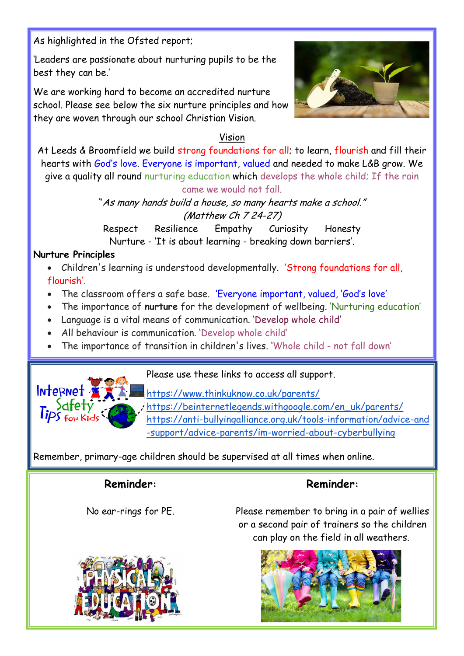As highlighted in the Ofsted report;

'Leaders are passionate about nurturing pupils to be the best they can be.'

We are working hard to become an accredited nurture school. Please see below the six nurture principles and how they are woven through our school Christian Vision.



#### Vision

At Leeds & Broomfield we build strong foundations for all; to learn, flourish and fill their hearts with God's love. Everyone is important, valued and needed to make L&B grow. We give a quality all round nurturing education which develops the whole child; If the rain came we would not fall.

> "As many hands build a house, so many hearts make a school." (Matthew Ch 7 24-27)

Respect Resilience Empathy Curiosity Honesty Nurture - 'It is about learning - breaking down barriers'.

#### **Nurture Principles**

 Children's learning is understood developmentally. 'Strong foundations for all, flourish'.

- The classroom offers a safe base. 'Everyone important, valued, 'God's love'
- The importance of **nurture** for the development of wellbeing. 'Nurturing education'
- Language is a vital means of communication. 'Develop whole child'
- All behaviour is communication. 'Develop whole child'
- The importance of transition in children's lives. 'Whole child not fall down'



Please use these links to access all support.

<https://www.thinkuknow.co.uk/parents/> [https://beinternetlegends.withgoogle.com/en\\_uk/parents/](https://beinternetlegends.withgoogle.com/en_uk/parents/) [https://anti-bullyingalliance.org.uk/tools-information/advice-and](https://anti-bullyingalliance.org.uk/tools-information/advice-and-support/advice-parents/im-worried-about-cyberbullying) [-support/advice-parents/im-worried-about-cyberbullying](https://anti-bullyingalliance.org.uk/tools-information/advice-and-support/advice-parents/im-worried-about-cyberbullying)

Remember, primary-age children should be supervised at all times when online.

## **Reminder:**

No ear-rings for PE.



**Reminder:**